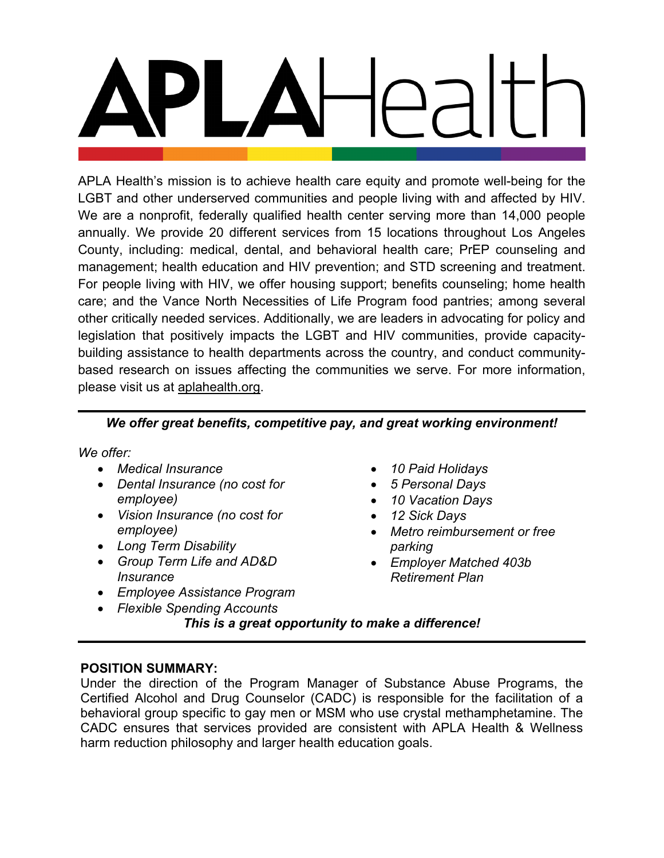APLA Health's mission is to achieve health care equity and promote well-being for the LGBT and other underserved communities and people living with and affected by HIV. We are a nonprofit, federally qualified health center serving more than 14,000 people annually. We provide 20 different services from 15 locations throughout Los Angeles County, including: medical, dental, and behavioral health care; PrEP counseling and management; health education and HIV prevention; and STD screening and treatment. For people living with HIV, we offer housing support; benefits counseling; home health care; and the Vance North Necessities of Life Program food pantries; among several other critically needed services. Additionally, we are leaders in advocating for policy and legislation that positively impacts the LGBT and HIV communities, provide capacitybuilding assistance to health departments across the country, and conduct communitybased research on issues affecting the communities we serve. For more information, please visit us at [aplahealth.org.](http://www.aplahealth.org/)

## *We offer great benefits, competitive pay, and great working environment!*

*We offer:*

- *Medical Insurance*
- *Dental Insurance (no cost for employee)*
- *Vision Insurance (no cost for employee)*
- *Long Term Disability*
- *Group Term Life and AD&D Insurance*
- *Employee Assistance Program*
- *Flexible Spending Accounts*
- *10 Paid Holidays*
- *5 Personal Days*
- *10 Vacation Days*
- *12 Sick Days*
- *Metro reimbursement or free parking*
- *Employer Matched 403b Retirement Plan*

*This is a great opportunity to make a difference!*

## **POSITION SUMMARY:**

Under the direction of the Program Manager of Substance Abuse Programs, the Certified Alcohol and Drug Counselor (CADC) is responsible for the facilitation of a behavioral group specific to gay men or MSM who use crystal methamphetamine. The CADC ensures that services provided are consistent with APLA Health & Wellness harm reduction philosophy and larger health education goals.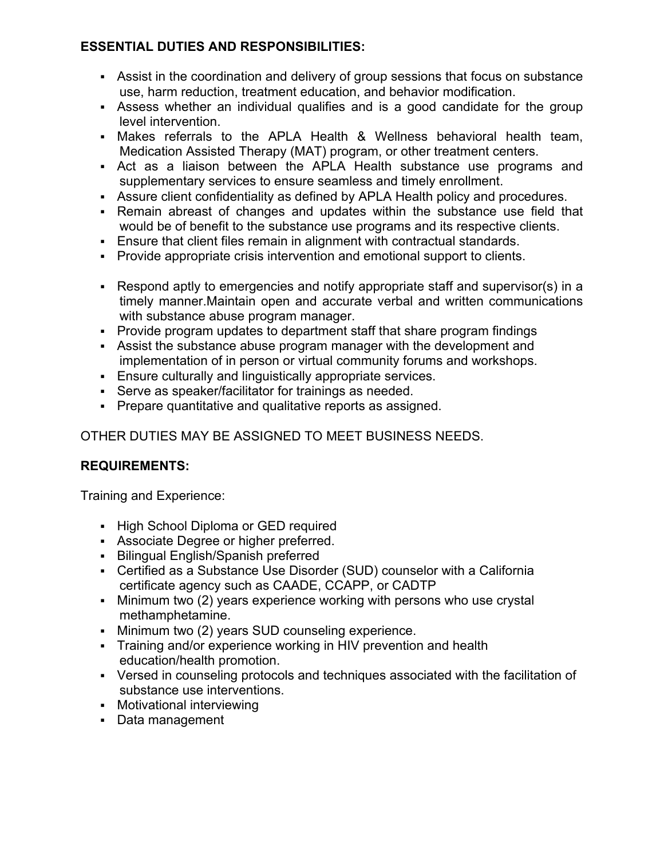## **ESSENTIAL DUTIES AND RESPONSIBILITIES:**

- Assist in the coordination and delivery of group sessions that focus on substance use, harm reduction, treatment education, and behavior modification.
- Assess whether an individual qualifies and is a good candidate for the group level intervention.
- Makes referrals to the APLA Health & Wellness behavioral health team, Medication Assisted Therapy (MAT) program, or other treatment centers.
- Act as a liaison between the APLA Health substance use programs and supplementary services to ensure seamless and timely enrollment.
- Assure client confidentiality as defined by APLA Health policy and procedures.
- Remain abreast of changes and updates within the substance use field that would be of benefit to the substance use programs and its respective clients.
- Ensure that client files remain in alignment with contractual standards.
- Provide appropriate crisis intervention and emotional support to clients.
- Respond aptly to emergencies and notify appropriate staff and supervisor(s) in a timely manner.Maintain open and accurate verbal and written communications with substance abuse program manager.
- Provide program updates to department staff that share program findings
- Assist the substance abuse program manager with the development and implementation of in person or virtual community forums and workshops.
- Ensure culturally and linguistically appropriate services.
- Serve as speaker/facilitator for trainings as needed.
- Prepare quantitative and qualitative reports as assigned.

# OTHER DUTIES MAY BE ASSIGNED TO MEET BUSINESS NEEDS.

# **REQUIREMENTS:**

Training and Experience:

- High School Diploma or GED required
- Associate Degree or higher preferred.
- **Bilingual English/Spanish preferred**
- Certified as a Substance Use Disorder (SUD) counselor with a California certificate agency such as CAADE, CCAPP, or CADTP
- Minimum two (2) years experience working with persons who use crystal methamphetamine.
- Minimum two (2) years SUD counseling experience.
- Training and/or experience working in HIV prevention and health education/health promotion.
- Versed in counseling protocols and techniques associated with the facilitation of substance use interventions.
- Motivational interviewing
- Data management